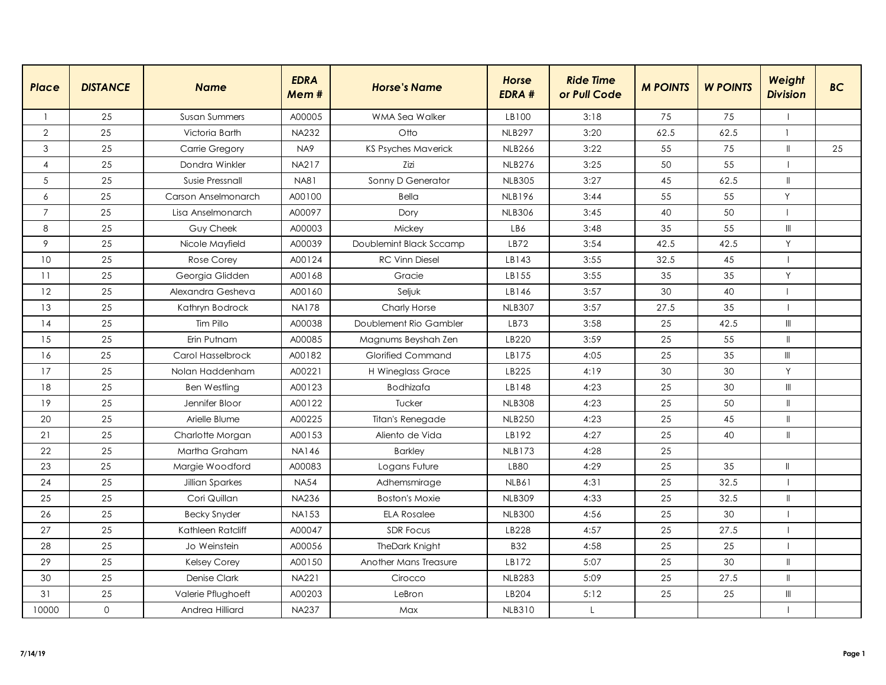| <b>Place</b>   | <b>DISTANCE</b> | <b>Name</b>          | <b>EDRA</b><br>Mem# | <b>Horse's Name</b>        | <b>Horse</b><br><b>EDRA#</b> | <b>Ride Time</b><br>or Pull Code | <b>M POINTS</b> | <b>W POINTS</b> | Weight<br><b>Division</b>          | <b>BC</b> |
|----------------|-----------------|----------------------|---------------------|----------------------------|------------------------------|----------------------------------|-----------------|-----------------|------------------------------------|-----------|
| -1             | 25              | <b>Susan Summers</b> | A00005              | WMA Sea Walker             | LB100                        | 3:18                             | 75              | 75              |                                    |           |
| $\mathbf{2}$   | 25              | Victoria Barth       | <b>NA232</b>        | Otto                       | <b>NLB297</b>                | 3:20                             | 62.5            | 62.5            | $\mathbf{1}$                       |           |
| 3              | 25              | Carrie Gregory       | NA <sub>9</sub>     | <b>KS Psyches Maverick</b> | <b>NLB266</b>                | 3:22                             | 55              | 75              | $\mathbf{I}$                       | 25        |
| 4              | 25              | Dondra Winkler       | <b>NA217</b>        | Zizi                       | <b>NLB276</b>                | 3:25                             | 50              | 55              | $\mathbf{I}$                       |           |
| 5              | 25              | Susie Pressnall      | <b>NA81</b>         | Sonny D Generator          | <b>NLB305</b>                | 3:27                             | 45              | 62.5            | $\mathbf{H}$                       |           |
| 6              | 25              | Carson Anselmonarch  | A00100              | <b>Bella</b>               | <b>NLB196</b>                | 3:44                             | 55              | 55              | Y                                  |           |
| $\overline{7}$ | 25              | Lisa Anselmonarch    | A00097              | Dory                       | <b>NLB306</b>                | 3:45                             | 40              | 50              |                                    |           |
| 8              | 25              | Guy Cheek            | A00003              | Mickey                     | LB6                          | 3:48                             | 35              | 55              | $\ensuremath{\mathsf{III}}\xspace$ |           |
| 9              | 25              | Nicole Mayfield      | A00039              | Doublemint Black Sccamp    | LB72                         | 3:54                             | 42.5            | 42.5            | Y                                  |           |
| 10             | 25              | <b>Rose Corey</b>    | A00124              | <b>RC Vinn Diesel</b>      | LB143                        | 3:55                             | 32.5            | 45              | $\overline{\phantom{a}}$           |           |
| 11             | 25              | Georgia Glidden      | A00168              | Gracie                     | LB155                        | 3:55                             | 35              | 35              | Y                                  |           |
| 12             | 25              | Alexandra Gesheva    | A00160              | Seljuk                     | LB146                        | 3:57                             | 30              | 40              | $\mathbf{I}$                       |           |
| 13             | 25              | Kathryn Bodrock      | <b>NA178</b>        | Charly Horse               | <b>NLB307</b>                | 3:57                             | 27.5            | 35              | $\mathbf{I}$                       |           |
| 14             | 25              | Tim Pillo            | A00038              | Doublement Rio Gambler     | LB73                         | 3:58                             | 25              | 42.5            | $\mathbb{H}$                       |           |
| 15             | 25              | Erin Putnam          | A00085              | Magnums Beyshah Zen        | LB220                        | 3:59                             | 25              | 55              | $\mathbf{I}$                       |           |
| 16             | 25              | Carol Hasselbrock    | A00182              | <b>Glorified Command</b>   | LB175                        | 4:05                             | 25              | 35              | $\ensuremath{\mathsf{III}}\xspace$ |           |
| 17             | 25              | Nolan Haddenham      | A00221              | H Wineglass Grace          | LB225                        | 4:19                             | 30              | 30              | Y                                  |           |
| 18             | 25              | <b>Ben Westling</b>  | A00123              | <b>Bodhizafa</b>           | LB148                        | 4:23                             | 25              | 30              | $\mathbb{H}$                       |           |
| 19             | 25              | Jennifer Bloor       | A00122              | Tucker                     | <b>NLB308</b>                | 4:23                             | 25              | 50              | $\mathbf{I}$                       |           |
| 20             | 25              | Arielle Blume        | A00225              | Titan's Renegade           | <b>NLB250</b>                | 4:23                             | 25              | 45              | $\mathbf{I}$                       |           |
| 21             | 25              | Charlotte Morgan     | A00153              | Aliento de Vida            | LB192                        | 4:27                             | 25              | 40              | $\mathbf{I}$                       |           |
| 22             | 25              | Martha Graham        | <b>NA146</b>        | <b>Barkley</b>             | <b>NLB173</b>                | 4:28                             | 25              |                 |                                    |           |
| 23             | 25              | Margie Woodford      | A00083              | Logans Future              | <b>LB80</b>                  | 4:29                             | 25              | 35              | $\mathbb{I}$                       |           |
| 24             | 25              | Jillian Sparkes      | <b>NA54</b>         | Adhemsmirage               | NLB61                        | 4:31                             | 25              | 32.5            | $\mathbf{I}$                       |           |
| 25             | 25              | Cori Quillan         | <b>NA236</b>        | <b>Boston's Moxie</b>      | <b>NLB309</b>                | 4:33                             | 25              | 32.5            | $\mathbb{I}$                       |           |
| 26             | 25              | <b>Becky Snyder</b>  | <b>NA153</b>        | <b>ELA Rosalee</b>         | <b>NLB300</b>                | 4:56                             | 25              | 30              | 1                                  |           |
| 27             | 25              | Kathleen Ratcliff    | A00047              | <b>SDR Focus</b>           | LB228                        | 4:57                             | 25              | 27.5            | $\overline{\phantom{a}}$           |           |
| 28             | 25              | Jo Weinstein         | A00056              | <b>TheDark Knight</b>      | <b>B32</b>                   | 4:58                             | 25              | 25              | $\mathbf{I}$                       |           |
| 29             | 25              | <b>Kelsey Corey</b>  | A00150              | Another Mans Treasure      | LB172                        | 5:07                             | 25              | 30              | $\mathbf{I}$                       |           |
| 30             | 25              | Denise Clark         | <b>NA221</b>        | Cirocco                    | <b>NLB283</b>                | 5:09                             | 25              | 27.5            | $\mathbf{I}$                       |           |
| 31             | 25              | Valerie Pflughoeft   | A00203              | LeBron                     | LB204                        | 5:12                             | 25              | 25              | Ш                                  |           |
| 10000          | $\mathbf 0$     | Andrea Hilliard      | <b>NA237</b>        | Max                        | <b>NLB310</b>                | $\mathsf{L}$                     |                 |                 |                                    |           |